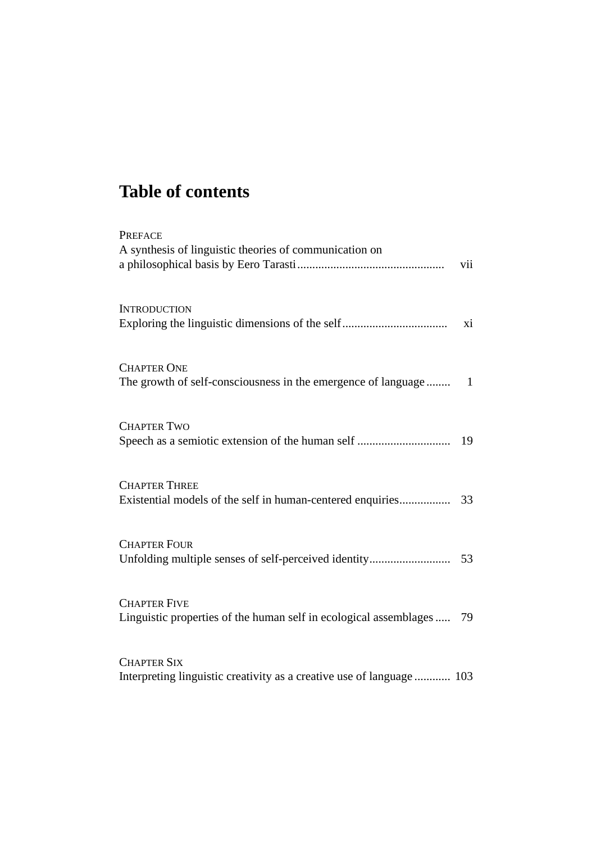## **Table of contents**

| <b>PREFACE</b><br>A synthesis of linguistic theories of communication on                     | vii |
|----------------------------------------------------------------------------------------------|-----|
| <b>INTRODUCTION</b>                                                                          | xi  |
| <b>CHAPTER ONE</b>                                                                           |     |
| <b>CHAPTER TWO</b>                                                                           | 19  |
| <b>CHAPTER THREE</b>                                                                         |     |
| <b>CHAPTER FOUR</b>                                                                          |     |
| <b>CHAPTER FIVE</b><br>Linguistic properties of the human self in ecological assemblages  79 |     |
| <b>CHAPTER SIX</b><br>Interpreting linguistic creativity as a creative use of language  103  |     |